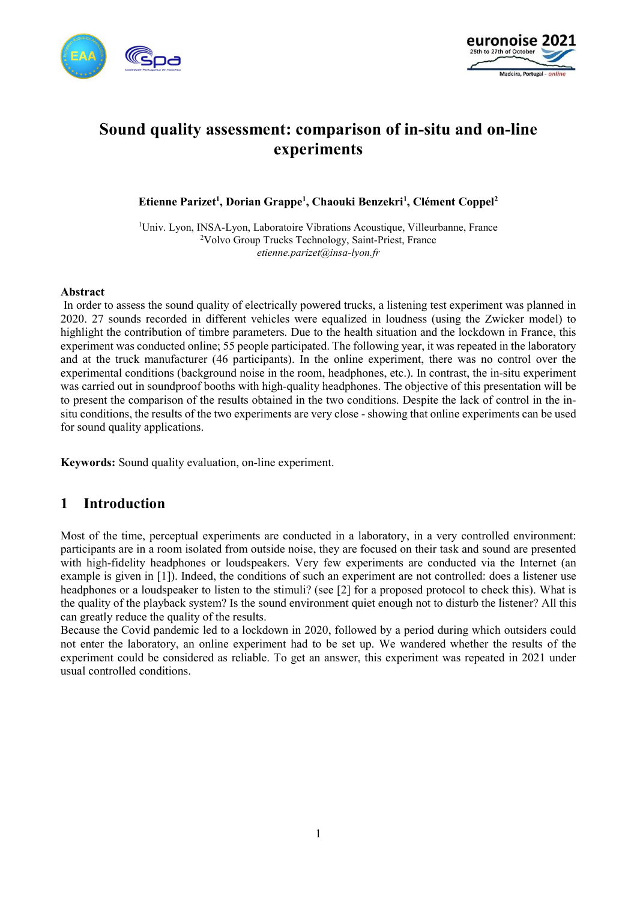



# Sound quality assessment: comparison of in-situ and on-line experiments

Etienne Parizet<sup>1</sup>, Dorian Grappe<sup>1</sup>, Chaouki Benzekri<sup>1</sup>, Clément Coppel<sup>2</sup>

<sup>1</sup>Univ. Lyon, INSA-Lyon, Laboratoire Vibrations Acoustique, Villeurbanne, France <sup>2</sup>Volvo Group Trucks Technology, Saint-Priest, France etienne.parizet@insa-lyon.fr

#### Abstract

 In order to assess the sound quality of electrically powered trucks, a listening test experiment was planned in 2020. 27 sounds recorded in different vehicles were equalized in loudness (using the Zwicker model) to highlight the contribution of timbre parameters. Due to the health situation and the lockdown in France, this experiment was conducted online; 55 people participated. The following year, it was repeated in the laboratory and at the truck manufacturer (46 participants). In the online experiment, there was no control over the experimental conditions (background noise in the room, headphones, etc.). In contrast, the in-situ experiment was carried out in soundproof booths with high-quality headphones. The objective of this presentation will be to present the comparison of the results obtained in the two conditions. Despite the lack of control in the insitu conditions, the results of the two experiments are very close - showing that online experiments can be used for sound quality applications.

Keywords: Sound quality evaluation, on-line experiment.

### 1 Introduction

Most of the time, perceptual experiments are conducted in a laboratory, in a very controlled environment: participants are in a room isolated from outside noise, they are focused on their task and sound are presented with high-fidelity headphones or loudspeakers. Very few experiments are conducted via the Internet (an example is given in [1]). Indeed, the conditions of such an experiment are not controlled: does a listener use headphones or a loudspeaker to listen to the stimuli? (see [2] for a proposed protocol to check this). What is the quality of the playback system? Is the sound environment quiet enough not to disturb the listener? All this can greatly reduce the quality of the results.

Because the Covid pandemic led to a lockdown in 2020, followed by a period during which outsiders could not enter the laboratory, an online experiment had to be set up. We wandered whether the results of the experiment could be considered as reliable. To get an answer, this experiment was repeated in 2021 under usual controlled conditions.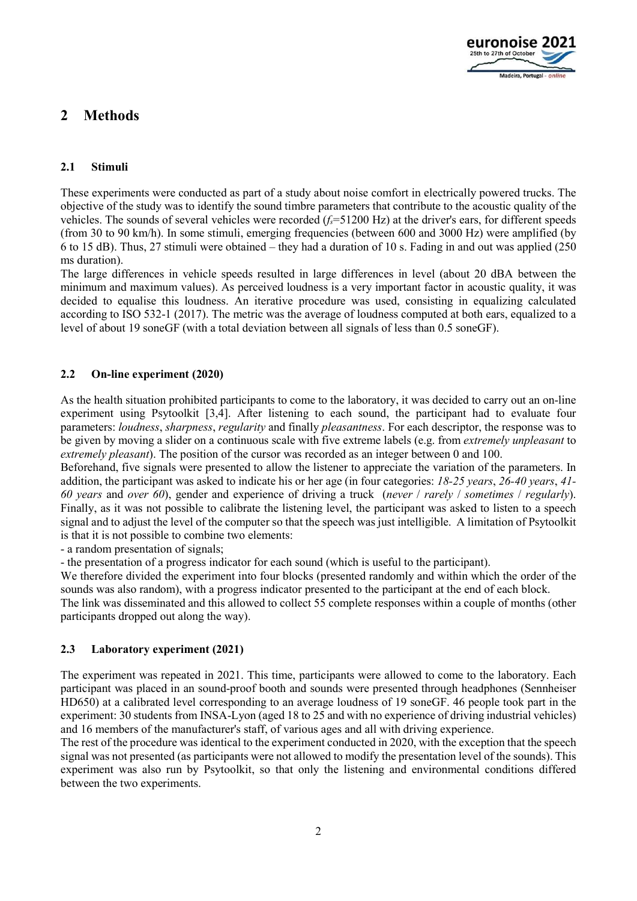

# 2 Methods

#### 2.1 Stimuli

These experiments were conducted as part of a study about noise comfort in electrically powered trucks. The objective of the study was to identify the sound timbre parameters that contribute to the acoustic quality of the vehicles. The sounds of several vehicles were recorded  $(f_s=51200 \text{ Hz})$  at the driver's ears, for different speeds (from 30 to 90 km/h). In some stimuli, emerging frequencies (between 600 and 3000 Hz) were amplified (by 6 to 15 dB). Thus, 27 stimuli were obtained – they had a duration of 10 s. Fading in and out was applied (250 ms duration).

The large differences in vehicle speeds resulted in large differences in level (about 20 dBA between the minimum and maximum values). As perceived loudness is a very important factor in acoustic quality, it was decided to equalise this loudness. An iterative procedure was used, consisting in equalizing calculated according to ISO 532-1 (2017). The metric was the average of loudness computed at both ears, equalized to a level of about 19 soneGF (with a total deviation between all signals of less than 0.5 soneGF).

#### 2.2 On-line experiment (2020)

As the health situation prohibited participants to come to the laboratory, it was decided to carry out an on-line experiment using Psytoolkit [3,4]. After listening to each sound, the participant had to evaluate four parameters: loudness, sharpness, regularity and finally pleasantness. For each descriptor, the response was to be given by moving a slider on a continuous scale with five extreme labels (e.g. from *extremely unpleasant* to extremely pleasant). The position of the cursor was recorded as an integer between 0 and 100.

Beforehand, five signals were presented to allow the listener to appreciate the variation of the parameters. In addition, the participant was asked to indicate his or her age (in four categories: 18-25 years, 26-40 years, 41- 60 years and over 60), gender and experience of driving a truck (never / rarely / sometimes / regularly). Finally, as it was not possible to calibrate the listening level, the participant was asked to listen to a speech signal and to adjust the level of the computer so that the speech was just intelligible. A limitation of Psytoolkit is that it is not possible to combine two elements:

- a random presentation of signals;

- the presentation of a progress indicator for each sound (which is useful to the participant).

We therefore divided the experiment into four blocks (presented randomly and within which the order of the sounds was also random), with a progress indicator presented to the participant at the end of each block.

The link was disseminated and this allowed to collect 55 complete responses within a couple of months (other participants dropped out along the way).

#### 2.3 Laboratory experiment (2021)

The experiment was repeated in 2021. This time, participants were allowed to come to the laboratory. Each participant was placed in an sound-proof booth and sounds were presented through headphones (Sennheiser HD650) at a calibrated level corresponding to an average loudness of 19 soneGF. 46 people took part in the experiment: 30 students from INSA-Lyon (aged 18 to 25 and with no experience of driving industrial vehicles) and 16 members of the manufacturer's staff, of various ages and all with driving experience.

The rest of the procedure was identical to the experiment conducted in 2020, with the exception that the speech signal was not presented (as participants were not allowed to modify the presentation level of the sounds). This experiment was also run by Psytoolkit, so that only the listening and environmental conditions differed between the two experiments.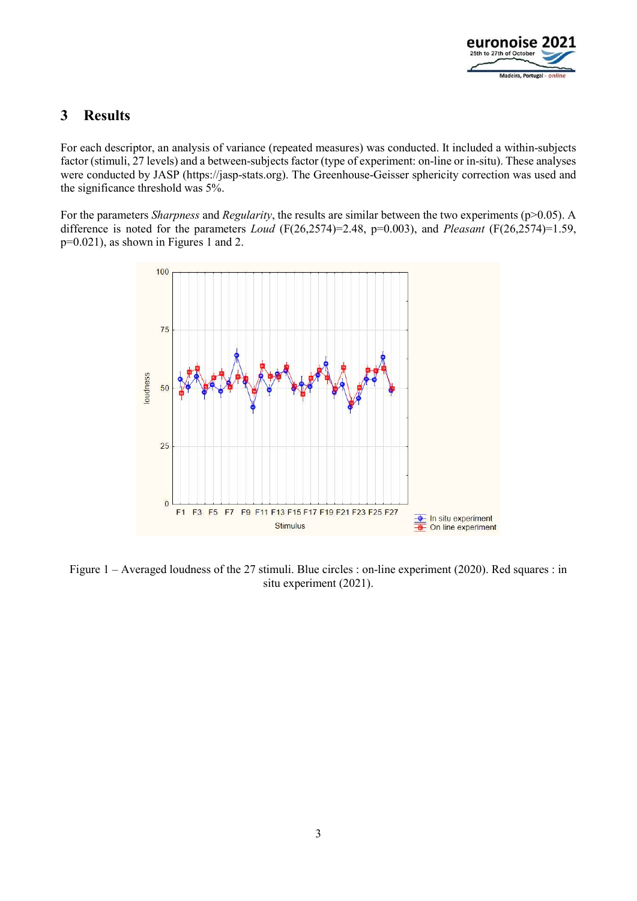

### 3 Results

For each descriptor, an analysis of variance (repeated measures) was conducted. It included a within-subjects factor (stimuli, 27 levels) and a between-subjects factor (type of experiment: on-line or in-situ). These analyses were conducted by JASP (https://jasp-stats.org). The Greenhouse-Geisser sphericity correction was used and the significance threshold was 5%.

For the parameters *Sharpness* and *Regularity*, the results are similar between the two experiments ( $p$  $>$ 0.05). A difference is noted for the parameters *Loud* ( $F(26,2574)=2.48$ ,  $p=0.003$ ), and *Pleasant* ( $F(26,2574)=1.59$ , p=0.021), as shown in Figures 1 and 2.



Figure 1 – Averaged loudness of the 27 stimuli. Blue circles : on-line experiment (2020). Red squares : in situ experiment (2021).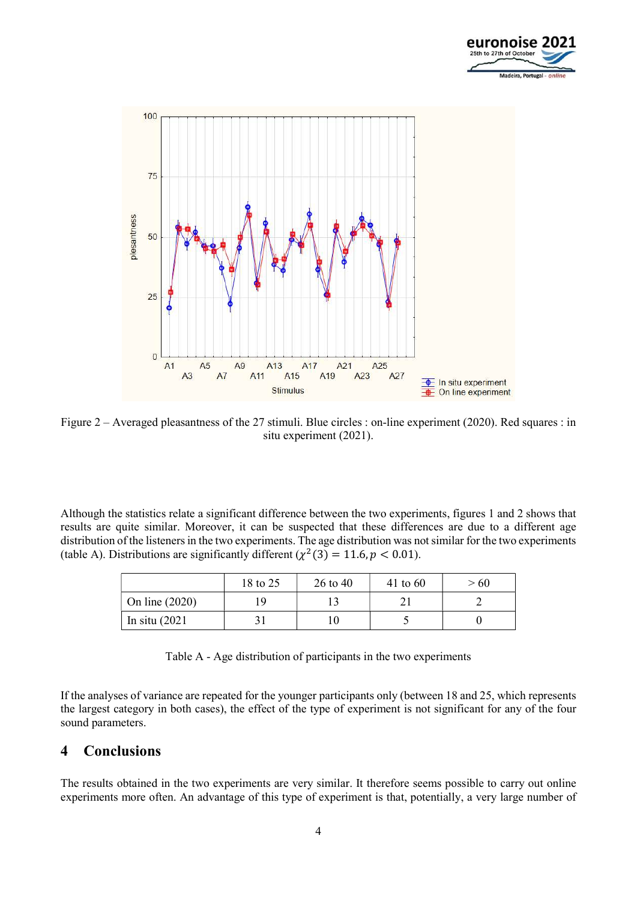



Figure 2 – Averaged pleasantness of the 27 stimuli. Blue circles : on-line experiment (2020). Red squares : in situ experiment (2021).

Although the statistics relate a significant difference between the two experiments, figures 1 and 2 shows that results are quite similar. Moreover, it can be suspected that these differences are due to a different age distribution of the listeners in the two experiments. The age distribution was not similar for the two experiments (table A). Distributions are significantly different  $(\chi^2(3) = 11.6, p < 0.01)$ .

|                  | 18 to 25 | 26 to 40 | 41 to $60$ | >60 |
|------------------|----------|----------|------------|-----|
| On line $(2020)$ |          |          |            |     |
| In situ $(2021)$ |          |          |            |     |

| Table A - Age distribution of participants in the two experiments |  |  |
|-------------------------------------------------------------------|--|--|
|                                                                   |  |  |
|                                                                   |  |  |

If the analyses of variance are repeated for the younger participants only (between 18 and 25, which represents the largest category in both cases), the effect of the type of experiment is not significant for any of the four sound parameters.

### 4 Conclusions

The results obtained in the two experiments are very similar. It therefore seems possible to carry out online experiments more often. An advantage of this type of experiment is that, potentially, a very large number of